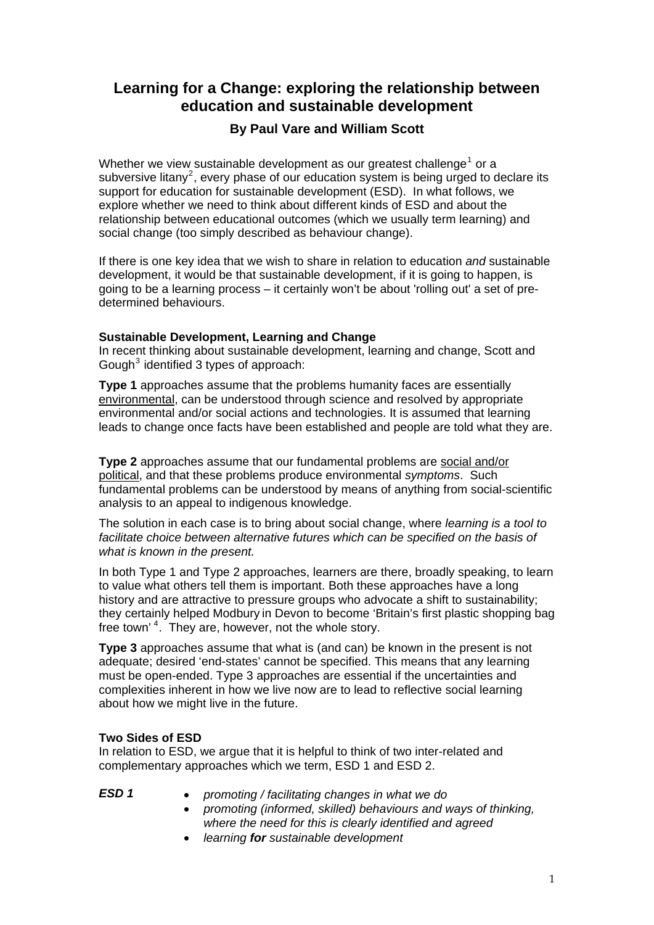# **Learning for a Change: exploring the relationship between education and sustainable development**

## **By Paul Vare and William Scott**

Whether we view sustainable development as our greatest challenge<sup>[1](#page-5-0)</sup> or a subversive litany<sup>[2](#page-5-1)</sup>, every phase of our education system is being urged to declare its support for education for sustainable development (ESD). In what follows, we explore whether we need to think about different kinds of ESD and about the relationship between educational outcomes (which we usually term learning) and social change (too simply described as behaviour change).

If there is one key idea that we wish to share in relation to education *and* sustainable development, it would be that sustainable development, if it is going to happen, is going to be a learning process – it certainly won't be about 'rolling out' a set of predetermined behaviours.

## **Sustainable Development, Learning and Change**

In recent thinking about sustainable development, learning and change, Scott and Gough $3$  identified 3 types of approach:

**Type 1** approaches assume that the problems humanity faces are essentially environmental, can be understood through science and resolved by appropriate environmental and/or social actions and technologies. It is assumed that learning leads to change once facts have been established and people are told what they are.

**Type 2** approaches assume that our fundamental problems are social and/or political, and that these problems produce environmental *symptoms*. Such fundamental problems can be understood by means of anything from social-scientific analysis to an appeal to indigenous knowledge.

The solution in each case is to bring about social change, where *learning is a tool to*  facilitate choice between alternative futures which can be specified on the basis of *what is known in the present.* 

In both Type 1 and Type 2 approaches, learners are there, broadly speaking, to learn to value what others tell them is important. Both these approaches have a long history and are attractive to pressure groups who advocate a shift to sustainability; they certainly helped Modbury in Devon to become 'Britain's first plastic shopping bag free town'<sup>[4](#page-5-1)</sup>. They are, however, not the whole story.

**Type 3** approaches assume that what is (and can) be known in the present is not adequate; desired 'end-states' cannot be specified. This means that any learning must be open-ended. Type 3 approaches are essential if the uncertainties and complexities inherent in how we live now are to lead to reflective social learning about how we might live in the future.

## **Two Sides of ESD**

In relation to ESD, we argue that it is helpful to think of two inter-related and complementary approaches which we term, ESD 1 and ESD 2.

- 
- *ESD 1 promoting / facilitating changes in what we do* 
	- *promoting (informed, skilled) behaviours and ways of thinking, where the need for this is clearly identified and agreed*
	- *learning for sustainable development*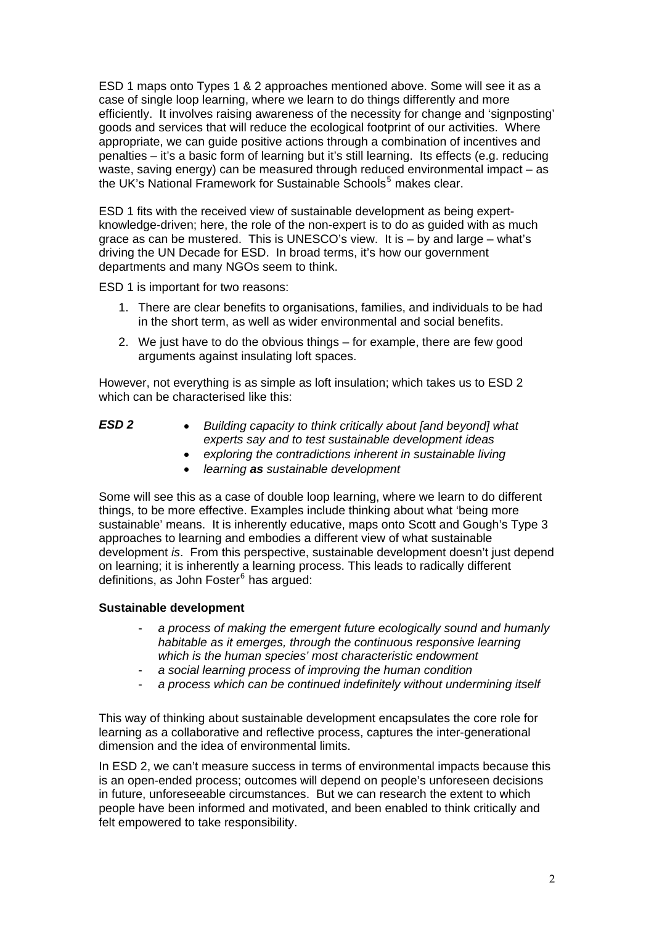ESD 1 maps onto Types 1 & 2 approaches mentioned above. Some will see it as a case of single loop learning, where we learn to do things differently and more efficiently. It involves raising awareness of the necessity for change and 'signposting' goods and services that will reduce the ecological footprint of our activities. Where appropriate, we can guide positive actions through a combination of incentives and penalties – it's a basic form of learning but it's still learning. Its effects (e.g. reducing waste, saving energy) can be measured through reduced environmental impact – as the UK's National Framework for Sustainable Schools<sup>[5](#page-5-1)</sup> makes clear.

ESD 1 fits with the received view of sustainable development as being expertknowledge-driven; here, the role of the non-expert is to do as guided with as much grace as can be mustered. This is UNESCO's view. It is – by and large – what's driving the UN Decade for ESD. In broad terms, it's how our government departments and many NGOs seem to think.

ESD 1 is important for two reasons:

- 1. There are clear benefits to organisations, families, and individuals to be had in the short term, as well as wider environmental and social benefits.
- 2. We just have to do the obvious things for example, there are few good arguments against insulating loft spaces.

However, not everything is as simple as loft insulation; which takes us to ESD 2 which can be characterised like this:

| ESD <sub>2</sub> | Building capacity to think critically about [and beyond] what |
|------------------|---------------------------------------------------------------|
|                  | experts say and to test sustainable development ideas         |
|                  | probably the controdictions inherent in questionable living   |

- *exploring the contradictions inherent in sustainable living*
- *learning as sustainable development*

Some will see this as a case of double loop learning, where we learn to do different things, to be more effective. Examples include thinking about what 'being more sustainable' means. It is inherently educative, maps onto Scott and Gough's Type 3 approaches to learning and embodies a different view of what sustainable development *is*. From this perspective, sustainable development doesn't just depend on learning; it is inherently a learning process. This leads to radically different definitions, as John Foster<sup>[6](#page-5-1)</sup> has argued:

## **Sustainable development**

- *a process of making the emergent future ecologically sound and humanly habitable as it emerges, through the continuous responsive learning which is the human species' most characteristic endowment*
- *a social learning process of improving the human condition*
- a process which can be continued indefinitely without undermining itself

This way of thinking about sustainable development encapsulates the core role for learning as a collaborative and reflective process, captures the inter-generational dimension and the idea of environmental limits.

In ESD 2, we can't measure success in terms of environmental impacts because this is an open-ended process; outcomes will depend on people's unforeseen decisions in future, unforeseeable circumstances. But we can research the extent to which people have been informed and motivated, and been enabled to think critically and felt empowered to take responsibility.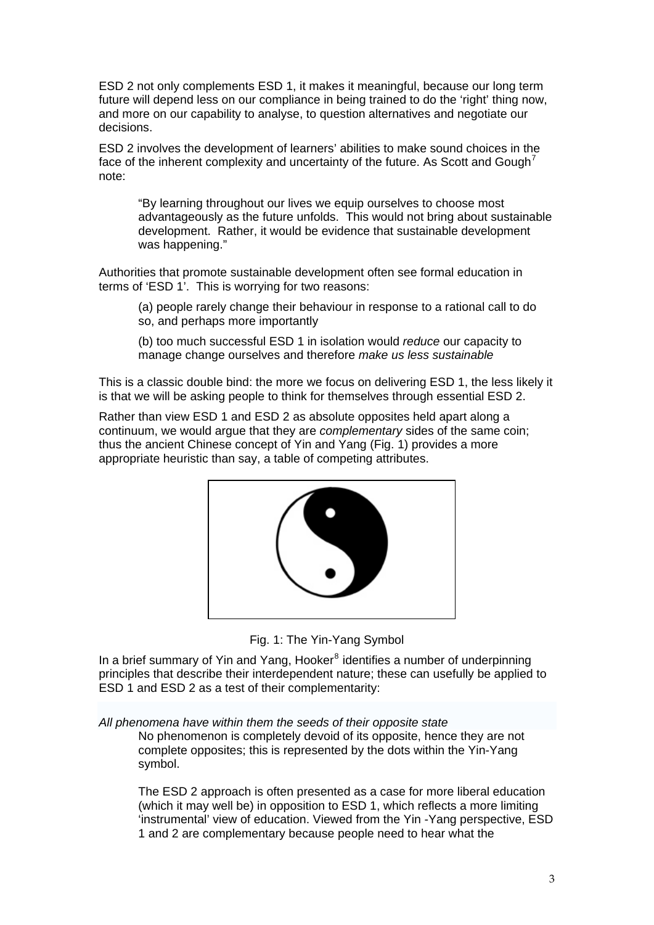ESD 2 not only complements ESD 1, it makes it meaningful, because our long term future will depend less on our compliance in being trained to do the 'right' thing now, and more on our capability to analyse, to question alternatives and negotiate our decisions.

ESD 2 involves the development of learners' abilities to make sound choices in the face of the inherent complexity and uncertainty of the future. As Scott and Gough<sup>[7](#page-5-1)</sup> note:

"By learning throughout our lives we equip ourselves to choose most advantageously as the future unfolds. This would not bring about sustainable development. Rather, it would be evidence that sustainable development was happening."

Authorities that promote sustainable development often see formal education in terms of 'ESD 1'. This is worrying for two reasons:

(a) people rarely change their behaviour in response to a rational call to do so, and perhaps more importantly

(b) too much successful ESD 1 in isolation would *reduce* our capacity to manage change ourselves and therefore *make us less sustainable*

This is a classic double bind: the more we focus on delivering ESD 1, the less likely it is that we will be asking people to think for themselves through essential ESD 2.

Rather than view ESD 1 and ESD 2 as absolute opposites held apart along a continuum, we would argue that they are *complementary* sides of the same coin; thus the ancient Chinese concept of Yin and Yang (Fig. 1) provides a more appropriate heuristic than say, a table of competing attributes.



Fig. 1: The Yin-Yang Symbol

In a brief summary of Yin and Yang, Hooker<sup>[8](#page-5-1)</sup> identifies a number of underpinning principles that describe their interdependent nature; these can usefully be applied to ESD 1 and ESD 2 as a test of their complementarity:

*All phenomena have within them the seeds of their opposite state* 

No phenomenon is completely devoid of its opposite, hence they are not complete opposites; this is represented by the dots within the Yin-Yang symbol.

The ESD 2 approach is often presented as a case for more liberal education (which it may well be) in opposition to ESD 1, which reflects a more limiting 'instrumental' view of education. Viewed from the Yin -Yang perspective, ESD 1 and 2 are complementary because people need to hear what the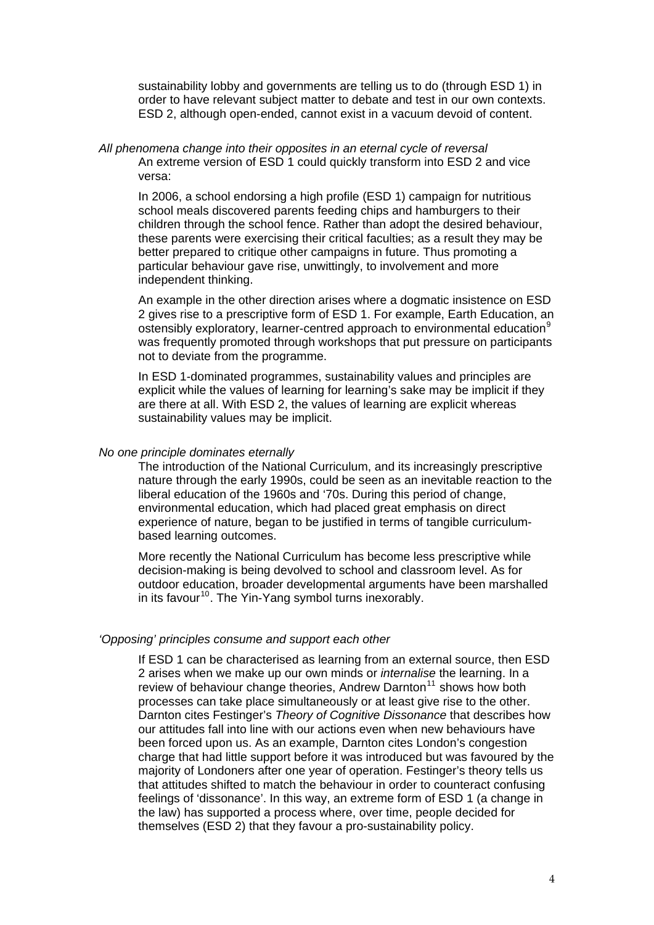sustainability lobby and governments are telling us to do (through ESD 1) in order to have relevant subject matter to debate and test in our own contexts. ESD 2, although open-ended, cannot exist in a vacuum devoid of content.

*All phenomena change into their opposites in an eternal cycle of reversal*  An extreme version of ESD 1 could quickly transform into ESD 2 and vice versa:

In 2006, a school endorsing a high profile (ESD 1) campaign for nutritious school meals discovered parents feeding chips and hamburgers to their children through the school fence. Rather than adopt the desired behaviour, these parents were exercising their critical faculties; as a result they may be better prepared to critique other campaigns in future. Thus promoting a particular behaviour gave rise, unwittingly, to involvement and more independent thinking.

An example in the other direction arises where a dogmatic insistence on ESD 2 gives rise to a prescriptive form of ESD 1. For example, Earth Education, an ostensibly exploratory, learner-centred approach to environmental education<sup>[9](#page-5-1)</sup> was frequently promoted through workshops that put pressure on participants not to deviate from the programme.

In ESD 1-dominated programmes, sustainability values and principles are explicit while the values of learning for learning's sake may be implicit if they are there at all. With ESD 2, the values of learning are explicit whereas sustainability values may be implicit.

#### *No one principle dominates eternally*

The introduction of the National Curriculum, and its increasingly prescriptive nature through the early 1990s, could be seen as an inevitable reaction to the liberal education of the 1960s and '70s. During this period of change, environmental education, which had placed great emphasis on direct experience of nature, began to be justified in terms of tangible curriculumbased learning outcomes.

More recently the National Curriculum has become less prescriptive while decision-making is being devolved to school and classroom level. As for outdoor education, broader developmental arguments have been marshalled in its favour<sup>[10](#page-5-1)</sup>. The Yin-Yang symbol turns inexorably.

#### *'Opposing' principles consume and support each other*

If ESD 1 can be characterised as learning from an external source, then ESD 2 arises when we make up our own minds or *internalise* the learning. In a review of behaviour change theories, Andrew Darnton<sup>[11](#page-5-1)</sup> shows how both processes can take place simultaneously or at least give rise to the other. Darnton cites Festinger's *Theory of Cognitive Dissonance* that describes how our attitudes fall into line with our actions even when new behaviours have been forced upon us. As an example, Darnton cites London's congestion charge that had little support before it was introduced but was favoured by the majority of Londoners after one year of operation. Festinger's theory tells us that attitudes shifted to match the behaviour in order to counteract confusing feelings of 'dissonance'. In this way, an extreme form of ESD 1 (a change in the law) has supported a process where, over time, people decided for themselves (ESD 2) that they favour a pro-sustainability policy.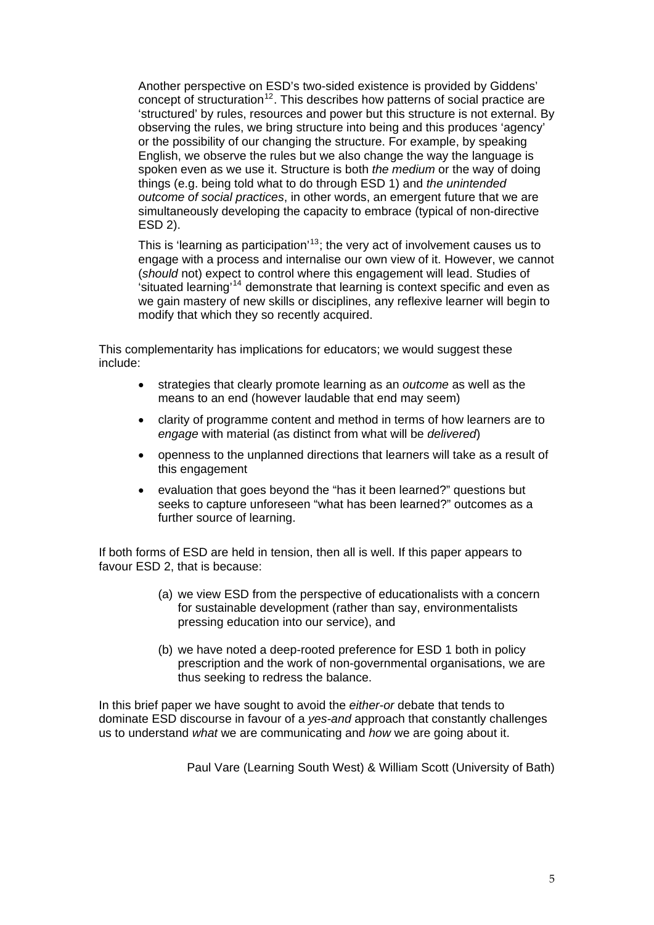Another perspective on ESD's two-sided existence is provided by Giddens' concept of structuration<sup>[12](#page-5-1)</sup>. This describes how patterns of social practice are 'structured' by rules, resources and power but this structure is not external. By observing the rules, we bring structure into being and this produces 'agency' or the possibility of our changing the structure. For example, by speaking English, we observe the rules but we also change the way the language is spoken even as we use it. Structure is both *the medium* or the way of doing things (e.g. being told what to do through ESD 1) and *the unintended outcome of social practices*, in other words, an emergent future that we are simultaneously developing the capacity to embrace (typical of non-directive ESD 2).

This is 'learning as participation'<sup>[13](#page-5-1)</sup>; the very act of involvement causes us to engage with a process and internalise our own view of it. However, we cannot (*should* not) expect to control where this engagement will lead. Studies of 'situated learning'[14](#page-5-1) demonstrate that learning is context specific and even as we gain mastery of new skills or disciplines, any reflexive learner will begin to modify that which they so recently acquired.

This complementarity has implications for educators; we would suggest these include:

- strategies that clearly promote learning as an *outcome* as well as the means to an end (however laudable that end may seem)
- clarity of programme content and method in terms of how learners are to *engage* with material (as distinct from what will be *delivered*)
- openness to the unplanned directions that learners will take as a result of this engagement
- evaluation that goes beyond the "has it been learned?" questions but seeks to capture unforeseen "what has been learned?" outcomes as a further source of learning.

If both forms of ESD are held in tension, then all is well. If this paper appears to favour ESD 2, that is because:

- (a) we view ESD from the perspective of educationalists with a concern for sustainable development (rather than say, environmentalists pressing education into our service), and
- (b) we have noted a deep-rooted preference for ESD 1 both in policy prescription and the work of non-governmental organisations, we are thus seeking to redress the balance.

In this brief paper we have sought to avoid the *either-or* debate that tends to dominate ESD discourse in favour of a *yes-and* approach that constantly challenges us to understand *what* we are communicating and *how* we are going about it.

Paul Vare (Learning South West) & William Scott (University of Bath)